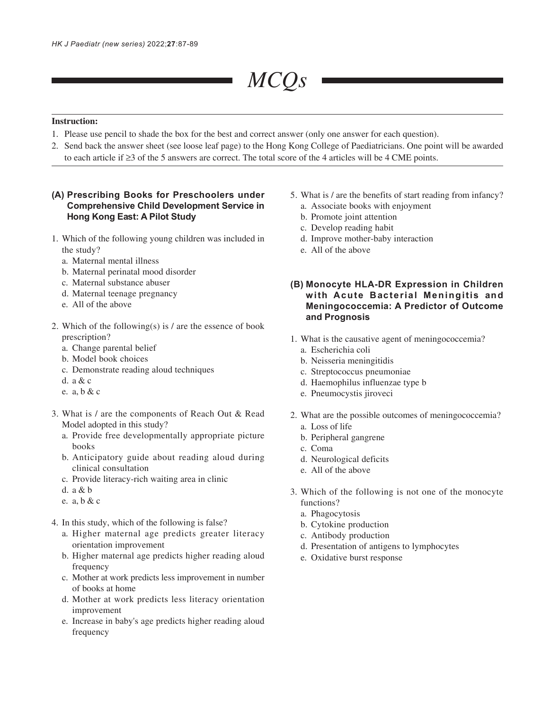# *MCQs*

## **Instruction:**

- 1. Please use pencil to shade the box for the best and correct answer (only one answer for each question).
- 2. Send back the answer sheet (see loose leaf page) to the Hong Kong College of Paediatricians. One point will be awarded to each article if ≥3 of the 5 answers are correct. The total score of the 4 articles will be 4 CME points.

# **(A) Prescribing Books for Preschoolers under Comprehensive Child Development Service in Hong Kong East: A Pilot Study**

- 1. Which of the following young children was included in the study?
	- a. Maternal mental illness
	- b. Maternal perinatal mood disorder
	- c. Maternal substance abuser
	- d. Maternal teenage pregnancy
	- e. All of the above
- 2. Which of the following(s) is  $\ell$  are the essence of book prescription?
	- a. Change parental belief
	- b. Model book choices
	- c. Demonstrate reading aloud techniques
	- d. a & c
	- e. a, b & c
- 3. What is / are the components of Reach Out & Read Model adopted in this study?
	- a. Provide free developmentally appropriate picture books
	- b. Anticipatory guide about reading aloud during clinical consultation
	- c. Provide literacy-rich waiting area in clinic
	- d. a & b
	- e. a, b & c
- 4. In this study, which of the following is false?
	- a. Higher maternal age predicts greater literacy orientation improvement
	- b. Higher maternal age predicts higher reading aloud frequency
	- c. Mother at work predicts less improvement in number of books at home
	- d. Mother at work predicts less literacy orientation improvement
	- e. Increase in baby's age predicts higher reading aloud frequency
- 5. What is / are the benefits of start reading from infancy?
	- a. Associate books with enjoyment
	- b. Promote joint attention
	- c. Develop reading habit
	- d. Improve mother-baby interaction
	- e. All of the above
- **(B) Monocyte HLA-DR Expression in Children with Acute Bacterial Meningitis and Meningococcemia: A Predictor of Outcome and Prognosis**
- 1. What is the causative agent of meningococcemia?
	- a. Escherichia coli
	- b. Neisseria meningitidis
	- c. Streptococcus pneumoniae
	- d. Haemophilus influenzae type b
	- e. Pneumocystis jiroveci
- 2. What are the possible outcomes of meningococcemia? a. Loss of life
	- b. Peripheral gangrene
	- c. Coma
	- d. Neurological deficits
	- e. All of the above
- 3. Which of the following is not one of the monocyte functions?
	- a. Phagocytosis
	- b. Cytokine production
	- c. Antibody production
	- d. Presentation of antigens to lymphocytes
	- e. Oxidative burst response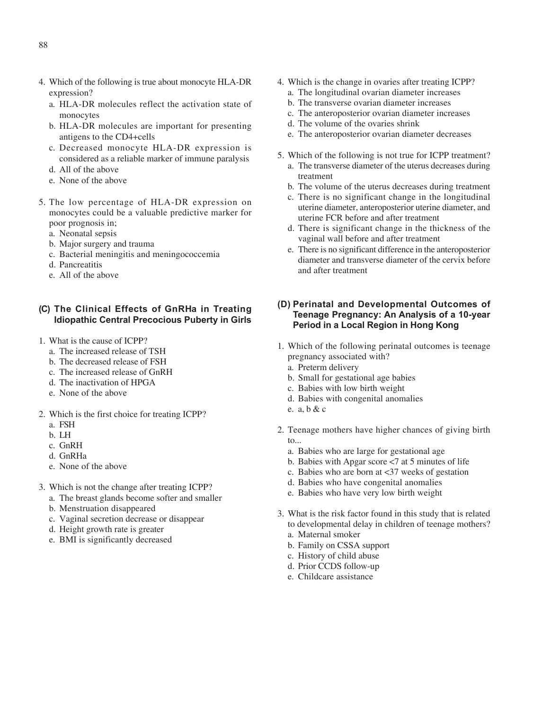- 4. Which of the following is true about monocyte HLA-DR expression?
	- a. HLA-DR molecules reflect the activation state of monocytes
	- b. HLA-DR molecules are important for presenting antigens to the CD4+cells
	- c. Decreased monocyte HLA-DR expression is considered as a reliable marker of immune paralysis
	- d. All of the above
	- e. None of the above
- 5. The low percentage of HLA-DR expression on monocytes could be a valuable predictive marker for poor prognosis in;
	- a. Neonatal sepsis
	- b. Major surgery and trauma
	- c. Bacterial meningitis and meningococcemia
	- d. Pancreatitis
	- e. All of the above

#### **(C) The Clinical Effects of GnRHa in Treating Idiopathic Central Precocious Puberty in Girls**

- 1. What is the cause of ICPP?
	- a. The increased release of TSH
	- b. The decreased release of FSH
	- c. The increased release of GnRH
	- d. The inactivation of HPGA
	- e. None of the above
- 2. Which is the first choice for treating ICPP?
	- a. FSH
	- b. LH
	- c. GnRH
	- d. GnRHa
	- e. None of the above
- 3. Which is not the change after treating ICPP?
	- a. The breast glands become softer and smaller
	- b. Menstruation disappeared
	- c. Vaginal secretion decrease or disappear
	- d. Height growth rate is greater
	- e. BMI is significantly decreased
- 4. Which is the change in ovaries after treating ICPP?
	- a. The longitudinal ovarian diameter increases
	- b. The transverse ovarian diameter increases
	- c. The anteroposterior ovarian diameter increases
	- d. The volume of the ovaries shrink
	- e. The anteroposterior ovarian diameter decreases
- 5. Which of the following is not true for ICPP treatment? a. The transverse diameter of the uterus decreases during
	- treatment
	- b. The volume of the uterus decreases during treatment
	- c. There is no significant change in the longitudinal uterine diameter, anteroposterior uterine diameter, and uterine FCR before and after treatment
	- d. There is significant change in the thickness of the vaginal wall before and after treatment
	- e. There is no significant difference in the anteroposterior diameter and transverse diameter of the cervix before and after treatment

## **(D) Perinatal and Developmental Outcomes of Teenage Pregnancy: An Analysis of a 10-year Period in a Local Region in Hong Kong**

- 1. Which of the following perinatal outcomes is teenage pregnancy associated with?
	- a. Preterm delivery
	- b. Small for gestational age babies
	- c. Babies with low birth weight
	- d. Babies with congenital anomalies
	- e. a, b & c
- 2. Teenage mothers have higher chances of giving birth to...
	- a. Babies who are large for gestational age
	- b. Babies with Apgar score <7 at 5 minutes of life
	- c. Babies who are born at <37 weeks of gestation
	- d. Babies who have congenital anomalies
	- e. Babies who have very low birth weight
- 3. What is the risk factor found in this study that is related to developmental delay in children of teenage mothers?
	- a. Maternal smoker
	- b. Family on CSSA support
	- c. History of child abuse
	- d. Prior CCDS follow-up
	- e. Childcare assistance